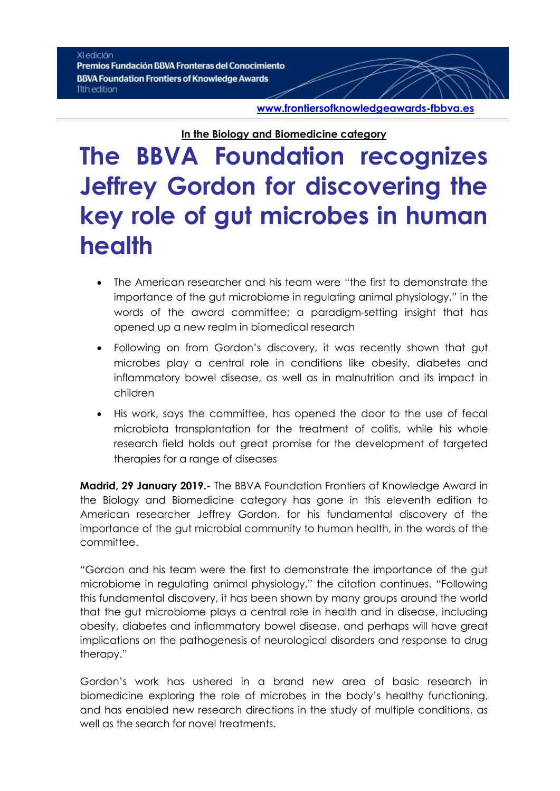#### XI edición

Premios Fundación BBVA Fronteras del Conocimiento **BBVA Foundation Frontiers of Knowledge Awards** 11th edition

**[www.frontiersofknowledgeawards-fbbva.es](http://www.frontiersofknowledgeawards-fbbva.es/)**

**In the Biology and Biomedicine category**

# **The BBVA Foundation recognizes Jeffrey Gordon for discovering the key role of gut microbes in human health**

- The American researcher and his team were "the first to demonstrate the importance of the gut microbiome in regulating animal physiology," in the words of the award committee; a paradigm-setting insight that has opened up a new realm in biomedical research
- Following on from Gordon's discovery, it was recently shown that gut microbes play a central role in conditions like obesity, diabetes and inflammatory bowel disease, as well as in malnutrition and its impact in children
- His work, says the committee, has opened the door to the use of fecal microbiota transplantation for the treatment of colitis, while his whole research field holds out great promise for the development of targeted therapies for a range of diseases

**Madrid, 29 January 2019.-** The BBVA Foundation Frontiers of Knowledge Award in the Biology and Biomedicine category has gone in this eleventh edition to American researcher Jeffrey Gordon, for his fundamental discovery of the importance of the gut microbial community to human health, in the words of the committee.

"Gordon and his team were the first to demonstrate the importance of the gut microbiome in regulating animal physiology," the citation continues. "Following this fundamental discovery, it has been shown by many groups around the world that the gut microbiome plays a central role in health and in disease, including obesity, diabetes and inflammatory bowel disease, and perhaps will have great implications on the pathogenesis of neurological disorders and response to drug therapy."

Gordon's work has ushered in a brand new area of basic research in biomedicine exploring the role of microbes in the body's healthy functioning, and has enabled new research directions in the study of multiple conditions, as well as the search for novel treatments.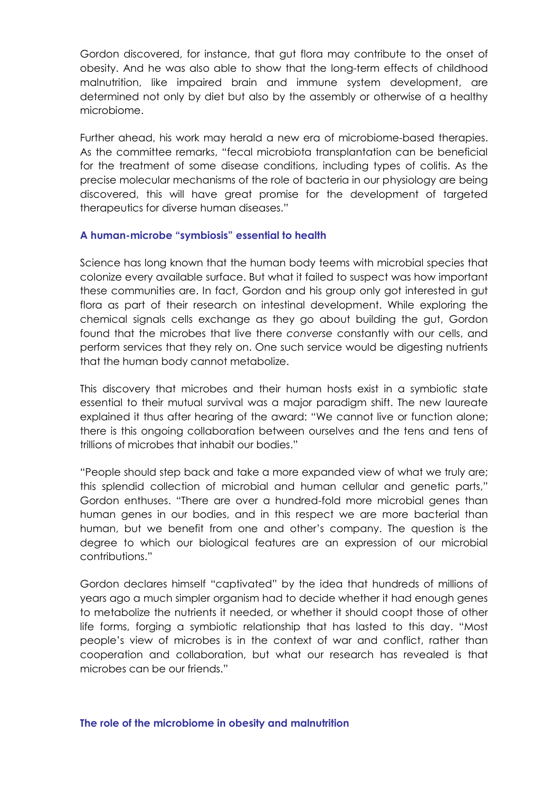Gordon discovered, for instance, that gut flora may contribute to the onset of obesity. And he was also able to show that the long-term effects of childhood malnutrition, like impaired brain and immune system development, are determined not only by diet but also by the assembly or otherwise of a healthy microbiome.

Further ahead, his work may herald a new era of microbiome-based therapies. As the committee remarks, "fecal microbiota transplantation can be beneficial for the treatment of some disease conditions, including types of colitis. As the precise molecular mechanisms of the role of bacteria in our physiology are being discovered, this will have great promise for the development of targeted therapeutics for diverse human diseases."

### **A human-microbe "symbiosis" essential to health**

Science has long known that the human body teems with microbial species that colonize every available surface. But what it failed to suspect was how important these communities are. In fact, Gordon and his group only got interested in gut flora as part of their research on intestinal development. While exploring the chemical signals cells exchange as they go about building the gut, Gordon found that the microbes that live there *converse* constantly with our cells, and perform services that they rely on. One such service would be digesting nutrients that the human body cannot metabolize.

This discovery that microbes and their human hosts exist in a symbiotic state essential to their mutual survival was a major paradigm shift. The new laureate explained it thus after hearing of the award: "We cannot live or function alone; there is this ongoing collaboration between ourselves and the tens and tens of trillions of microbes that inhabit our bodies."

"People should step back and take a more expanded view of what we truly are; this splendid collection of microbial and human cellular and genetic parts," Gordon enthuses. "There are over a hundred-fold more microbial genes than human genes in our bodies, and in this respect we are more bacterial than human, but we benefit from one and other's company. The question is the degree to which our biological features are an expression of our microbial contributions."

Gordon declares himself "captivated" by the idea that hundreds of millions of years ago a much simpler organism had to decide whether it had enough genes to metabolize the nutrients it needed, or whether it should coopt those of other life forms, forging a symbiotic relationship that has lasted to this day. "Most people's view of microbes is in the context of war and conflict, rather than cooperation and collaboration, but what our research has revealed is that microbes can be our friends."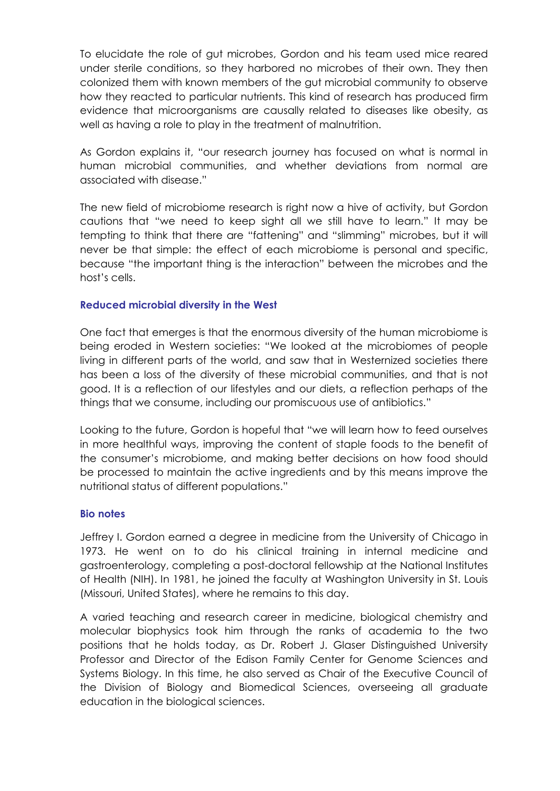To elucidate the role of gut microbes, Gordon and his team used mice reared under sterile conditions, so they harbored no microbes of their own. They then colonized them with known members of the gut microbial community to observe how they reacted to particular nutrients. This kind of research has produced firm evidence that microorganisms are causally related to diseases like obesity, as well as having a role to play in the treatment of malnutrition.

As Gordon explains it, "our research journey has focused on what is normal in human microbial communities, and whether deviations from normal are associated with disease."

The new field of microbiome research is right now a hive of activity, but Gordon cautions that "we need to keep sight all we still have to learn." It may be tempting to think that there are "fattening" and "slimming" microbes, but it will never be that simple: the effect of each microbiome is personal and specific, because "the important thing is the interaction" between the microbes and the host's cells.

# **Reduced microbial diversity in the West**

One fact that emerges is that the enormous diversity of the human microbiome is being eroded in Western societies: "We looked at the microbiomes of people living in different parts of the world, and saw that in Westernized societies there has been a loss of the diversity of these microbial communities, and that is not good. It is a reflection of our lifestyles and our diets, a reflection perhaps of the things that we consume, including our promiscuous use of antibiotics."

Looking to the future, Gordon is hopeful that "we will learn how to feed ourselves in more healthful ways, improving the content of staple foods to the benefit of the consumer's microbiome, and making better decisions on how food should be processed to maintain the active ingredients and by this means improve the nutritional status of different populations."

### **Bio notes**

Jeffrey I. Gordon earned a degree in medicine from the University of Chicago in 1973. He went on to do his clinical training in internal medicine and gastroenterology, completing a post-doctoral fellowship at the National Institutes of Health (NIH). In 1981, he joined the faculty at Washington University in St. Louis (Missouri, United States), where he remains to this day.

A varied teaching and research career in medicine, biological chemistry and molecular biophysics took him through the ranks of academia to the two positions that he holds today, as Dr. Robert J. Glaser Distinguished University Professor and Director of the Edison Family Center for Genome Sciences and Systems Biology. In this time, he also served as Chair of the Executive Council of the Division of Biology and Biomedical Sciences, overseeing all graduate education in the biological sciences.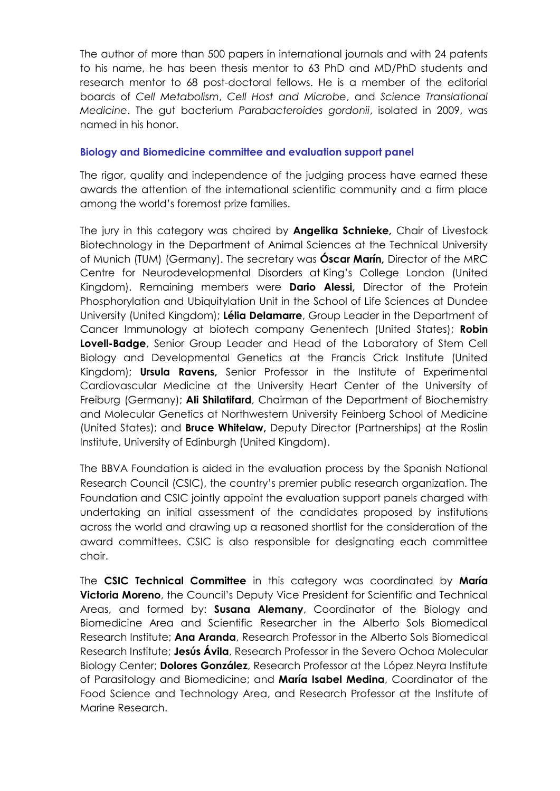The author of more than 500 papers in international journals and with 24 patents to his name, he has been thesis mentor to 63 PhD and MD/PhD students and research mentor to 68 post-doctoral fellows. He is a member of the editorial boards of *Cell Metabolism*, *Cell Host and Microbe*, and *Science Translational Medicine*. The gut bacterium *Parabacteroides gordonii*, isolated in 2009, was named in his honor.

## **Biology and Biomedicine committee and evaluation support panel**

The rigor, quality and independence of the judging process have earned these awards the attention of the international scientific community and a firm place among the world's foremost prize families.

The jury in this category was chaired by **Angelika Schnieke,** Chair of Livestock Biotechnology in the Department of Animal Sciences at the Technical University of Munich (TUM) (Germany). The secretary was **Óscar Marín,** Director of the MRC Centre for Neurodevelopmental Disorders at King's College London (United Kingdom). Remaining members were **Dario Alessi,** Director of the Protein Phosphorylation and Ubiquitylation Unit in the School of Life Sciences at Dundee University (United Kingdom); **Lélia Delamarre**, Group Leader in the Department of Cancer Immunology at biotech company Genentech (United States); **Robin Lovell-Badge**, Senior Group Leader and Head of the Laboratory of Stem Cell Biology and Developmental Genetics at the Francis Crick Institute (United Kingdom); **Ursula Ravens,** Senior Professor in the Institute of Experimental Cardiovascular Medicine at the University Heart Center of the University of Freiburg (Germany); **Ali Shilatifard**, Chairman of the Department of Biochemistry and Molecular Genetics at Northwestern University Feinberg School of Medicine (United States); and **Bruce Whitelaw,** Deputy Director (Partnerships) at the Roslin Institute, University of Edinburgh (United Kingdom).

The BBVA Foundation is aided in the evaluation process by the Spanish National Research Council (CSIC), the country's premier public research organization. The Foundation and CSIC jointly appoint the evaluation support panels charged with undertaking an initial assessment of the candidates proposed by institutions across the world and drawing up a reasoned shortlist for the consideration of the award committees. CSIC is also responsible for designating each committee chair.

The **CSIC Technical Committee** in this category was coordinated by **María Victoria Moreno**, the Council's Deputy Vice President for Scientific and Technical Areas, and formed by: **Susana Alemany**, Coordinator of the Biology and Biomedicine Area and Scientific Researcher in the Alberto Sols Biomedical Research Institute; **Ana Aranda**, Research Professor in the Alberto Sols Biomedical Research Institute; **Jesús Ávila**, Research Professor in the Severo Ochoa Molecular Biology Center; **Dolores González**, Research Professor at the López Neyra Institute of Parasitology and Biomedicine; and **María Isabel Medina**, Coordinator of the Food Science and Technology Area, and Research Professor at the Institute of Marine Research.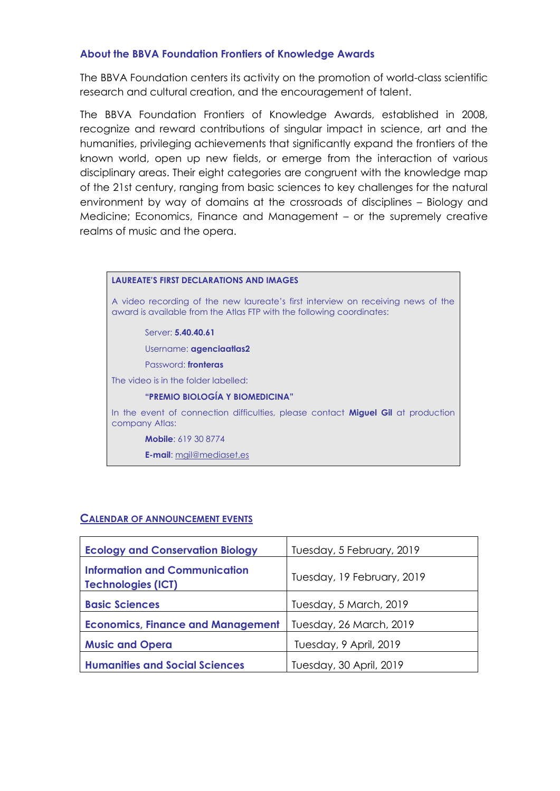#### **About the BBVA Foundation Frontiers of Knowledge Awards**

The BBVA Foundation centers its activity on the promotion of world-class scientific research and cultural creation, and the encouragement of talent.

The BBVA Foundation Frontiers of Knowledge Awards, established in 2008, recognize and reward contributions of singular impact in science, art and the humanities, privileging achievements that significantly expand the frontiers of the known world, open up new fields, or emerge from the interaction of various disciplinary areas. Their eight categories are congruent with the knowledge map of the 21st century, ranging from basic sciences to key challenges for the natural environment by way of domains at the crossroads of disciplines – Biology and Medicine; Economics, Finance and Management – or the supremely creative realms of music and the opera.

| <b>LAUREATE'S FIRST DECLARATIONS AND IMAGES</b>                                                                                                           |  |  |
|-----------------------------------------------------------------------------------------------------------------------------------------------------------|--|--|
| A video recording of the new laureate's first interview on receiving news of the<br>award is available from the Atlas FTP with the following coordinates: |  |  |
| Server: 5.40.40.61                                                                                                                                        |  |  |
| Username: agenciaatlas2                                                                                                                                   |  |  |
| Password: fronteras                                                                                                                                       |  |  |
| The video is in the folder labelled:                                                                                                                      |  |  |
| "PREMIO BIOLOGÍA Y BIOMEDICINA"                                                                                                                           |  |  |
| In the event of connection difficulties, please contact Miguel Gil at production<br>company Atlas:                                                        |  |  |
| <b>Mobile: 619 30 8774</b>                                                                                                                                |  |  |
| <b>E-mail:</b> mail@mediaset.es                                                                                                                           |  |  |

### **CALENDAR OF ANNOUNCEMENT EVENTS**

| <b>Ecology and Conservation Biology</b>                           | Tuesday, 5 February, 2019  |
|-------------------------------------------------------------------|----------------------------|
| <b>Information and Communication</b><br><b>Technologies (ICT)</b> | Tuesday, 19 February, 2019 |
| <b>Basic Sciences</b>                                             | Tuesday, 5 March, 2019     |
| <b>Economics, Finance and Management</b>                          | Tuesday, 26 March, 2019    |
| <b>Music and Opera</b>                                            | Tuesday, 9 April, 2019     |
| <b>Humanities and Social Sciences</b>                             | Tuesday, 30 April, 2019    |